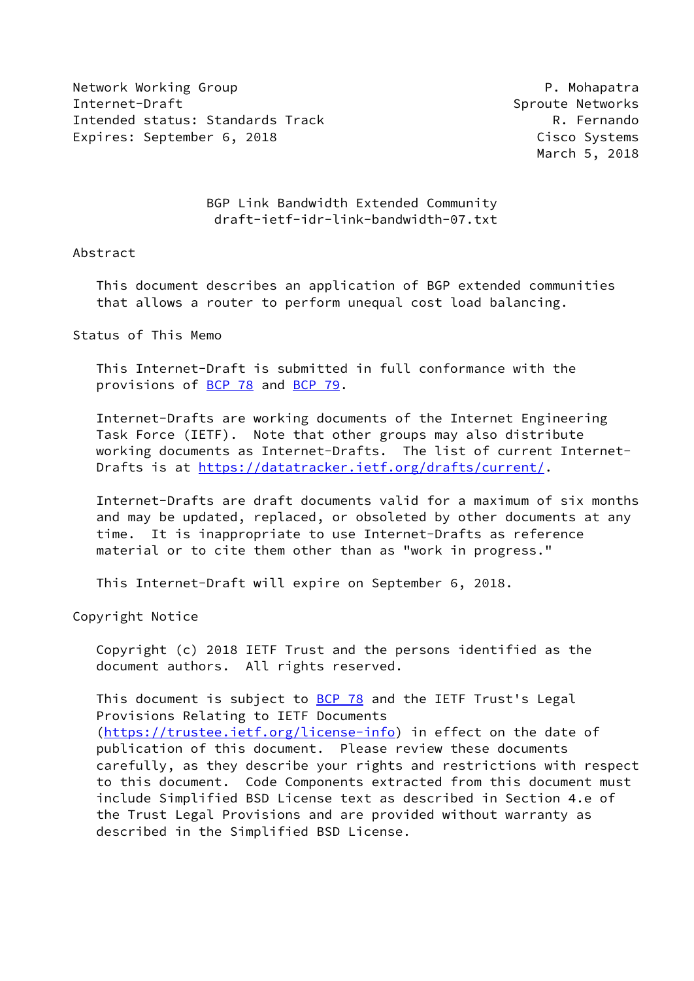Network Working Group **P. Mohapatra** Internet-Draft Sproute Networks Intended status: Standards Track R. Fernando Expires: September 6, 2018 Cisco Systems

March 5, 2018

 BGP Link Bandwidth Extended Community draft-ietf-idr-link-bandwidth-07.txt

## Abstract

 This document describes an application of BGP extended communities that allows a router to perform unequal cost load balancing.

Status of This Memo

 This Internet-Draft is submitted in full conformance with the provisions of [BCP 78](https://datatracker.ietf.org/doc/pdf/bcp78) and [BCP 79](https://datatracker.ietf.org/doc/pdf/bcp79).

 Internet-Drafts are working documents of the Internet Engineering Task Force (IETF). Note that other groups may also distribute working documents as Internet-Drafts. The list of current Internet- Drafts is at<https://datatracker.ietf.org/drafts/current/>.

 Internet-Drafts are draft documents valid for a maximum of six months and may be updated, replaced, or obsoleted by other documents at any time. It is inappropriate to use Internet-Drafts as reference material or to cite them other than as "work in progress."

This Internet-Draft will expire on September 6, 2018.

Copyright Notice

 Copyright (c) 2018 IETF Trust and the persons identified as the document authors. All rights reserved.

This document is subject to **[BCP 78](https://datatracker.ietf.org/doc/pdf/bcp78)** and the IETF Trust's Legal Provisions Relating to IETF Documents [\(https://trustee.ietf.org/license-info](https://trustee.ietf.org/license-info)) in effect on the date of publication of this document. Please review these documents carefully, as they describe your rights and restrictions with respect to this document. Code Components extracted from this document must include Simplified BSD License text as described in Section 4.e of the Trust Legal Provisions and are provided without warranty as described in the Simplified BSD License.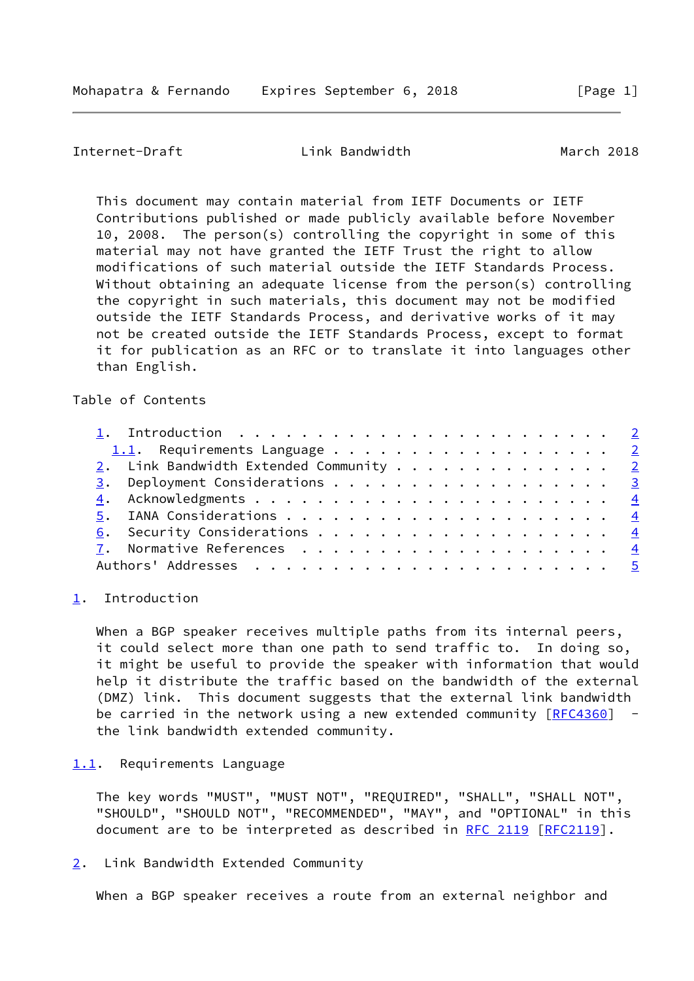<span id="page-1-1"></span>Internet-Draft Link Bandwidth March 2018

 This document may contain material from IETF Documents or IETF Contributions published or made publicly available before November 10, 2008. The person(s) controlling the copyright in some of this material may not have granted the IETF Trust the right to allow modifications of such material outside the IETF Standards Process. Without obtaining an adequate license from the person(s) controlling the copyright in such materials, this document may not be modified outside the IETF Standards Process, and derivative works of it may not be created outside the IETF Standards Process, except to format it for publication as an RFC or to translate it into languages other than English.

## Table of Contents

| 1.1. Requirements Language $\frac{2}{3}$ |  |  |  |  |  |  |  |  |
|------------------------------------------|--|--|--|--|--|--|--|--|
| 2. Link Bandwidth Extended Community 2   |  |  |  |  |  |  |  |  |
|                                          |  |  |  |  |  |  |  |  |
|                                          |  |  |  |  |  |  |  |  |
|                                          |  |  |  |  |  |  |  |  |
|                                          |  |  |  |  |  |  |  |  |
|                                          |  |  |  |  |  |  |  |  |
|                                          |  |  |  |  |  |  |  |  |

## <span id="page-1-0"></span>[1](#page-1-0). Introduction

When a BGP speaker receives multiple paths from its internal peers, it could select more than one path to send traffic to. In doing so, it might be useful to provide the speaker with information that would help it distribute the traffic based on the bandwidth of the external (DMZ) link. This document suggests that the external link bandwidth be carried in the network using a new extended community  $[REC4360]$  the link bandwidth extended community.

## <span id="page-1-2"></span>[1.1](#page-1-2). Requirements Language

 The key words "MUST", "MUST NOT", "REQUIRED", "SHALL", "SHALL NOT", "SHOULD", "SHOULD NOT", "RECOMMENDED", "MAY", and "OPTIONAL" in this document are to be interpreted as described in [RFC 2119 \[RFC2119](https://datatracker.ietf.org/doc/pdf/rfc2119)].

<span id="page-1-3"></span>[2](#page-1-3). Link Bandwidth Extended Community

When a BGP speaker receives a route from an external neighbor and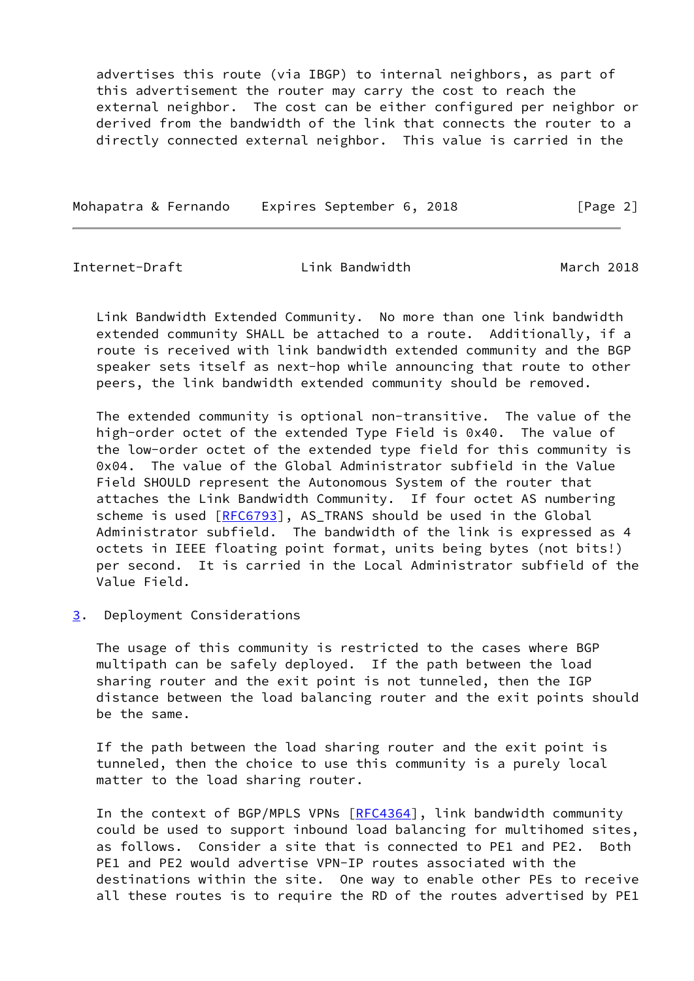advertises this route (via IBGP) to internal neighbors, as part of this advertisement the router may carry the cost to reach the external neighbor. The cost can be either configured per neighbor or derived from the bandwidth of the link that connects the router to a directly connected external neighbor. This value is carried in the

Mohapatra & Fernando Expires September 6, 2018 [Page 2]

<span id="page-2-1"></span>

Internet-Draft Link Bandwidth March 2018

 Link Bandwidth Extended Community. No more than one link bandwidth extended community SHALL be attached to a route. Additionally, if a route is received with link bandwidth extended community and the BGP speaker sets itself as next-hop while announcing that route to other peers, the link bandwidth extended community should be removed.

 The extended community is optional non-transitive. The value of the high-order octet of the extended Type Field is 0x40. The value of the low-order octet of the extended type field for this community is 0x04. The value of the Global Administrator subfield in the Value Field SHOULD represent the Autonomous System of the router that attaches the Link Bandwidth Community. If four octet AS numbering scheme is used [\[RFC6793](https://datatracker.ietf.org/doc/pdf/rfc6793)], AS\_TRANS should be used in the Global Administrator subfield. The bandwidth of the link is expressed as 4 octets in IEEE floating point format, units being bytes (not bits!) per second. It is carried in the Local Administrator subfield of the Value Field.

<span id="page-2-0"></span>[3](#page-2-0). Deployment Considerations

 The usage of this community is restricted to the cases where BGP multipath can be safely deployed. If the path between the load sharing router and the exit point is not tunneled, then the IGP distance between the load balancing router and the exit points should be the same.

 If the path between the load sharing router and the exit point is tunneled, then the choice to use this community is a purely local matter to the load sharing router.

 In the context of BGP/MPLS VPNs [\[RFC4364](https://datatracker.ietf.org/doc/pdf/rfc4364)], link bandwidth community could be used to support inbound load balancing for multihomed sites, as follows. Consider a site that is connected to PE1 and PE2. Both PE1 and PE2 would advertise VPN-IP routes associated with the destinations within the site. One way to enable other PEs to receive all these routes is to require the RD of the routes advertised by PE1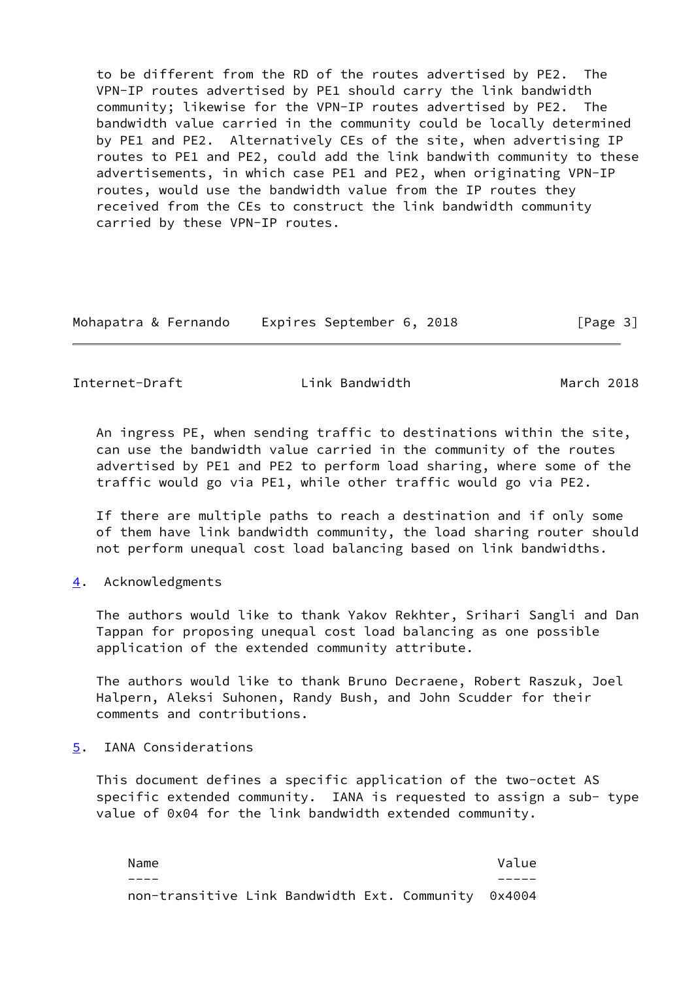to be different from the RD of the routes advertised by PE2. The VPN-IP routes advertised by PE1 should carry the link bandwidth community; likewise for the VPN-IP routes advertised by PE2. The bandwidth value carried in the community could be locally determined by PE1 and PE2. Alternatively CEs of the site, when advertising IP routes to PE1 and PE2, could add the link bandwith community to these advertisements, in which case PE1 and PE2, when originating VPN-IP routes, would use the bandwidth value from the IP routes they received from the CEs to construct the link bandwidth community carried by these VPN-IP routes.

| Mohapatra & Fernando | Expires September 6, 2018 | [Page 3] |
|----------------------|---------------------------|----------|
|----------------------|---------------------------|----------|

<span id="page-3-1"></span>Internet-Draft **Link Bandwidth** March 2018

 An ingress PE, when sending traffic to destinations within the site, can use the bandwidth value carried in the community of the routes advertised by PE1 and PE2 to perform load sharing, where some of the traffic would go via PE1, while other traffic would go via PE2.

 If there are multiple paths to reach a destination and if only some of them have link bandwidth community, the load sharing router should not perform unequal cost load balancing based on link bandwidths.

<span id="page-3-0"></span>[4](#page-3-0). Acknowledgments

 The authors would like to thank Yakov Rekhter, Srihari Sangli and Dan Tappan for proposing unequal cost load balancing as one possible application of the extended community attribute.

 The authors would like to thank Bruno Decraene, Robert Raszuk, Joel Halpern, Aleksi Suhonen, Randy Bush, and John Scudder for their comments and contributions.

<span id="page-3-2"></span>[5](#page-3-2). IANA Considerations

 This document defines a specific application of the two-octet AS specific extended community. IANA is requested to assign a sub- type value of 0x04 for the link bandwidth extended community.

Name **Value**  ---- ---- non-transitive Link Bandwidth Ext. Community 0x4004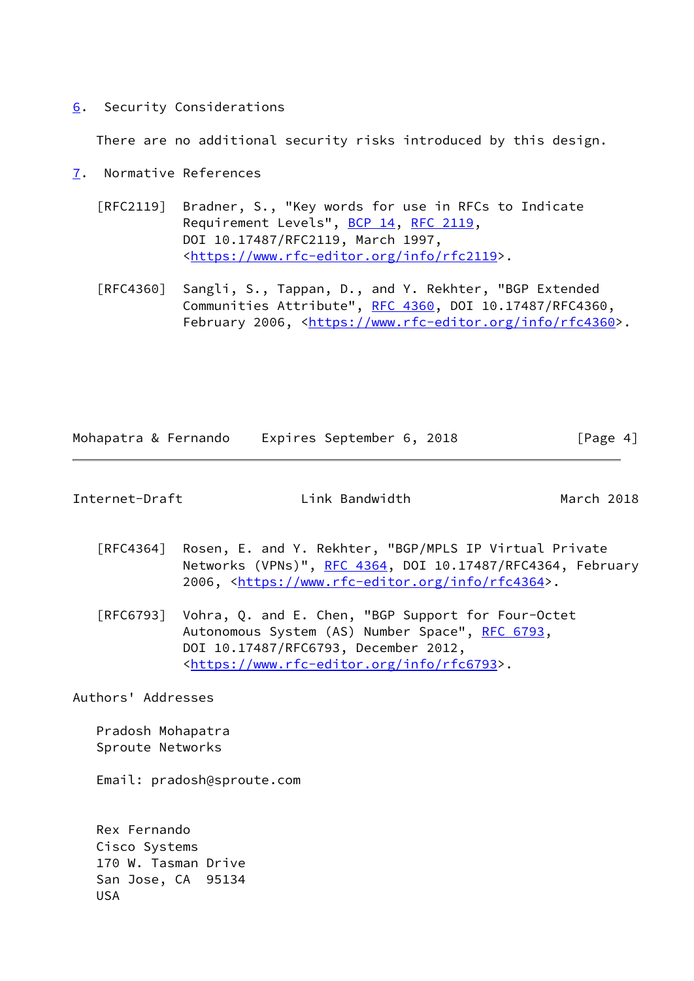<span id="page-4-0"></span>[6](#page-4-0). Security Considerations

There are no additional security risks introduced by this design.

- <span id="page-4-1"></span>[7](#page-4-1). Normative References
	- [RFC2119] Bradner, S., "Key words for use in RFCs to Indicate Requirement Levels", [BCP 14](https://datatracker.ietf.org/doc/pdf/bcp14), [RFC 2119](https://datatracker.ietf.org/doc/pdf/rfc2119), DOI 10.17487/RFC2119, March 1997, <[https://www.rfc-editor.org/info/rfc2119>](https://www.rfc-editor.org/info/rfc2119).
	- [RFC4360] Sangli, S., Tappan, D., and Y. Rekhter, "BGP Extended Communities Attribute", [RFC 4360,](https://datatracker.ietf.org/doc/pdf/rfc4360) DOI 10.17487/RFC4360, February 2006, <<https://www.rfc-editor.org/info/rfc4360>>.

| Expires September 6, 2018<br>Mohapatra & Fernando | [Page $4$ ] |
|---------------------------------------------------|-------------|
|---------------------------------------------------|-------------|

<span id="page-4-2"></span>

| Internet-Draft | Link Bandwidth | March 2018 |
|----------------|----------------|------------|

- [RFC4364] Rosen, E. and Y. Rekhter, "BGP/MPLS IP Virtual Private Networks (VPNs)", [RFC 4364](https://datatracker.ietf.org/doc/pdf/rfc4364), DOI 10.17487/RFC4364, February 2006, [<https://www.rfc-editor.org/info/rfc4364](https://www.rfc-editor.org/info/rfc4364)>.
- [RFC6793] Vohra, Q. and E. Chen, "BGP Support for Four-Octet Autonomous System (AS) Number Space", [RFC 6793](https://datatracker.ietf.org/doc/pdf/rfc6793), DOI 10.17487/RFC6793, December 2012, <[https://www.rfc-editor.org/info/rfc6793>](https://www.rfc-editor.org/info/rfc6793).

Authors' Addresses

 Pradosh Mohapatra Sproute Networks

Email: pradosh@sproute.com

 Rex Fernando Cisco Systems 170 W. Tasman Drive San Jose, CA 95134 USA